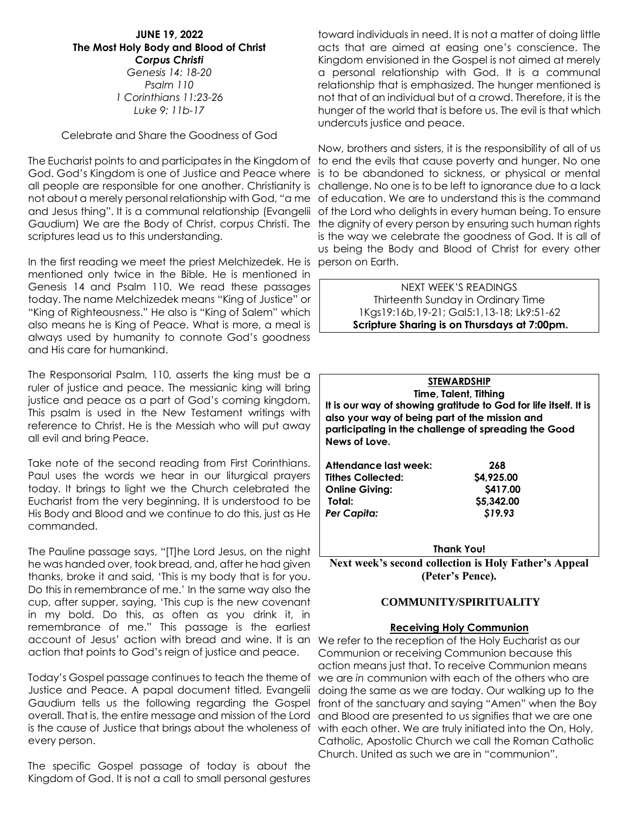## **JUNE 19, 2022 The Most Holy Body and Blood of Christ** *Corpus Christi Genesis 14: 18-20 Psalm 110 1 Corinthians 11:23-26 Luke 9: 11b-17*

## Celebrate and Share the Goodness of God

The Eucharist points to and participates in the Kingdom of to end the evils that cause poverty and hunger. No one God. God's Kingdom is one of Justice and Peace where all people are responsible for one another. Christianity is challenge. No one is to be left to ignorance due to a lack not about a merely personal relationship with God, "a me of education. We are to understand this is the command Gaudium) We are the Body of Christ, corpus Christi. The the dignity of every person by ensuring such human rights scriptures lead us to this understanding.

In the first reading we meet the priest Melchizedek. He is person on Earth. mentioned only twice in the Bible. He is mentioned in Genesis 14 and Psalm 110. We read these passages today. The name Melchizedek means "King of Justice" or "King of Righteousness." He also is "King of Salem" which also means he is King of Peace. What is more, a meal is always used by humanity to connote God's goodness and His care for humankind.

The Responsorial Psalm, 110, asserts the king must be a ruler of justice and peace. The messianic king will bring justice and peace as a part of God's coming kingdom. This psalm is used in the New Testament writings with reference to Christ. He is the Messiah who will put away all evil and bring Peace.

Take note of the second reading from First Corinthians. Paul uses the words we hear in our liturgical prayers today. It brings to light we the Church celebrated the Eucharist from the very beginning. It is understood to be His Body and Blood and we continue to do this, just as He commanded.

The Pauline passage says, "[T]he Lord Jesus, on the night he was handed over, took bread, and, after he had given thanks, broke it and said, 'This is my body that is for you. Do this in remembrance of me.' In the same way also the cup, after supper, saying, 'This cup is the new covenant in my bold. Do this, as often as you drink it, in remembrance of me." This passage is the earliest account of Jesus' action with bread and wine. It is an We refer to the reception of the Holy Eucharist as our action that points to God's reign of justice and peace.

Today's Gospel passage continues to teach the theme of Justice and Peace. A papal document titled, Evangelii Gaudium tells us the following regarding the Gospel overall. That is, the entire message and mission of the Lord is the cause of Justice that brings about the wholeness of every person.

The specific Gospel passage of today is about the Kingdom of God. It is not a call to small personal gestures

toward individuals in need. It is not a matter of doing little acts that are aimed at easing one's conscience. The Kingdom envisioned in the Gospel is not aimed at merely a personal relationship with God. It is a communal relationship that is emphasized. The hunger mentioned is not that of an individual but of a crowd. Therefore, it is the hunger of the world that is before us. The evil is that which undercuts justice and peace.

and Jesus thing". It is a communal relationship (Evangelii of the Lord who delights in every human being. To ensure Now, brothers and sisters, it is the responsibility of all of us is to be abandoned to sickness, or physical or mental is the way we celebrate the goodness of God. It is all of us being the Body and Blood of Christ for every other

> NEXT WEEK'S READINGS Thirteenth Sunday in Ordinary Time 1Kgs19:16b,19-21; Gal5:1,13-18; Lk9:51-62 **Scripture Sharing is on Thursdays at 7:00pm.**

|  | <b>STEWARDSHIP</b>                                                                                                                                                         |  |  |
|--|----------------------------------------------------------------------------------------------------------------------------------------------------------------------------|--|--|
|  | Time, Talent, Tithing                                                                                                                                                      |  |  |
|  | It is our way of showing gratitude to God for life itself. It is<br>also your way of being part of the mission and<br>participating in the challenge of spreading the Good |  |  |
|  |                                                                                                                                                                            |  |  |
|  |                                                                                                                                                                            |  |  |
|  | News of Love.                                                                                                                                                              |  |  |
|  |                                                                                                                                                                            |  |  |
|  | Attendance last week:<br>268                                                                                                                                               |  |  |
|  | \$4,925.00<br><b>Tithes Collected:</b>                                                                                                                                     |  |  |
|  | \$417.00<br><b>Online Giving:</b>                                                                                                                                          |  |  |

**Total: \$5,342.00**  *Per Capita: \$19.93*

**Thank You!**

**Next week's second collection is Holy Father's Appeal (Peter's Pence).**

## **COMMUNITY/SPIRITUALITY**

#### **Receiving Holy Communion**

Communion or receiving Communion because this action means just that. To receive Communion means we are *in* communion with each of the others who are doing the same as we are today. Our walking up to the front of the sanctuary and saying "Amen" when the Boy and Blood are presented to us signifies that we are one with each other. We are truly initiated into the On, Holy, Catholic, Apostolic Church we call the Roman Catholic Church. United as such we are in "communion".